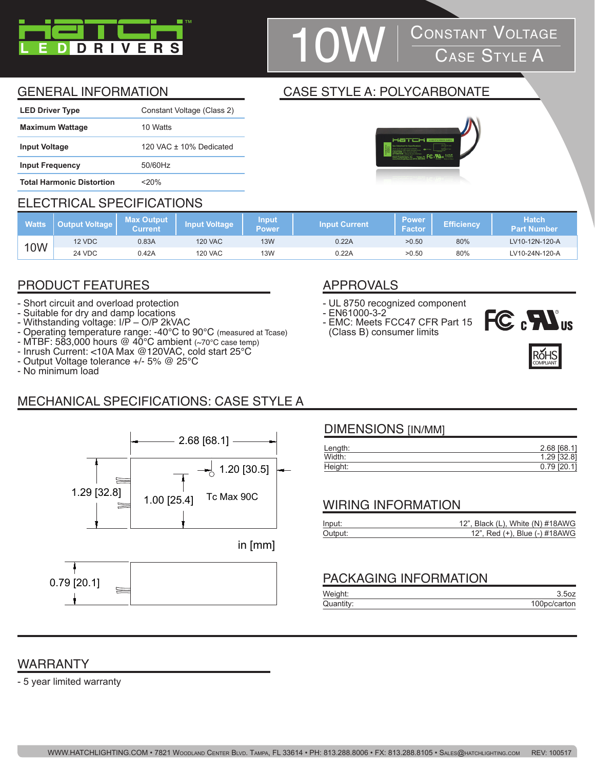

# **CONSTANT VOLTAGE**<br>CASE STYLE A

### GENERAL INFORMATION CASE STYLE A: POLYCARBONATE

| <b>LED Driver Type</b>           | Constant Voltage (Class 2) |
|----------------------------------|----------------------------|
| <b>Maximum Wattage</b>           | 10 Watts                   |
| <b>Input Voltage</b>             | 120 VAC $+$ 10% Dedicated  |
| <b>Input Frequency</b>           | 50/60Hz                    |
| <b>Total Harmonic Distortion</b> | $<$ 20%                    |

#### ELECTRICAL SPECIFICATIONS

| <b>Watts</b> | <b>Dutput Voltage  </b> | <b>Max Output</b><br>Current | Input Voltage  | <b>Input</b><br>Power | <b>Input Current</b> | <b>Power</b><br>Factor | Efficiencv | <b>Hatch</b><br><b>Part Number</b> |
|--------------|-------------------------|------------------------------|----------------|-----------------------|----------------------|------------------------|------------|------------------------------------|
| <b>10W</b>   | 12 VDC                  | 0.83A                        | <b>120 VAC</b> | 13W                   | 0.22A                | >0.50                  | 80%        | LV10-12N-120-A                     |
|              | 24 VDC                  | 0.42A                        | <b>120 VAC</b> | 13W                   | 0.22A                | >0.50                  | 80%        | LV10-24N-120-A                     |

## PRODUCT FEATURES APPROVALS

- Short circuit and overload protection
- Suitable for dry and damp locations
- Withstanding voltage: I/P O/P 2kVAC
- Operating temperature range: -40°C to 90°C (measured at Tcase)
- MTBF: 583,000 hours @ 40°C ambient (~70°C case temp)
- Inrush Current: <10A Max @120VAC, cold start 25°C
- Output Voltage tolerance +/- 5% @ 25°C
- No minimum load

## MECHANICAL SPECIFICATIONS: CASE STYLE A



0.79 [20.1]

- UL 8750 recognized component
- EN61000-3-2
- EMC: Meets FCC47 CFR Part 15 (Class B) consumer limits





#### DIMENSIONS [IN/MM]

| Length: | 2.68 [68.1]   |
|---------|---------------|
| Width:  | 1.29 [32.8]   |
| Height: | $0.79$ [20.1] |
|         |               |

#### WIRING INFORMATION

| Input:  | 12", Black (L), White (N) #18AWG |
|---------|----------------------------------|
| Output: | 12", Red (+), Blue (-) #18AWG    |

#### PACKAGING INFORMATION

| Weight:   |              |
|-----------|--------------|
| Quantity: | 100pc/carton |

#### WARRANTY

- 5 year limited warranty

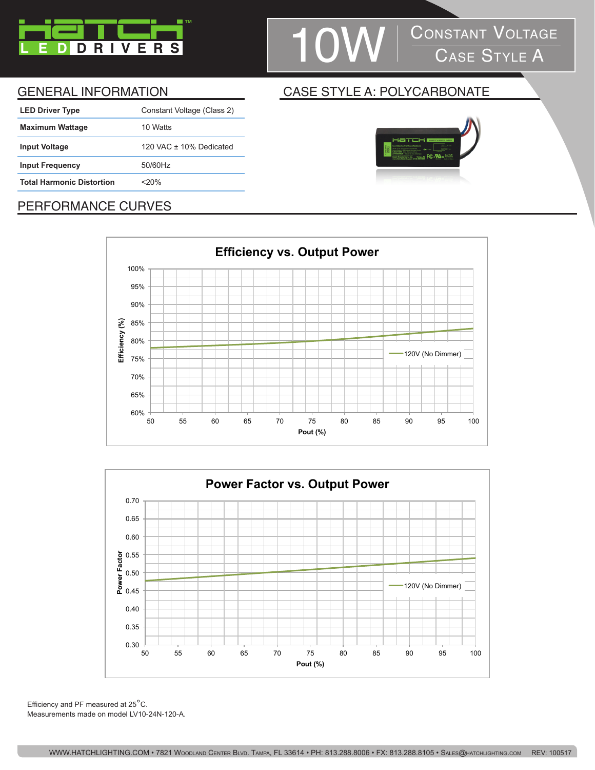

# 1 OW CONSTANT VOLTAGE

| <b>LED Driver Type</b>           | Constant Voltage (Class 2) |
|----------------------------------|----------------------------|
| <b>Maximum Wattage</b>           | 10 Watts                   |
| <b>Input Voltage</b>             | 120 VAC $+$ 10% Dedicated  |
| <b>Input Frequency</b>           | 50/60Hz                    |
| <b>Total Harmonic Distortion</b> | $<$ 20%                    |
|                                  |                            |

#### GENERAL INFORMATION CASE STYLE A: POLYCARBONATE



### PERFORMANCE CURVES





Efficiency and PF measured at 25°C. Measurements made on model LV10-24N-120-A.